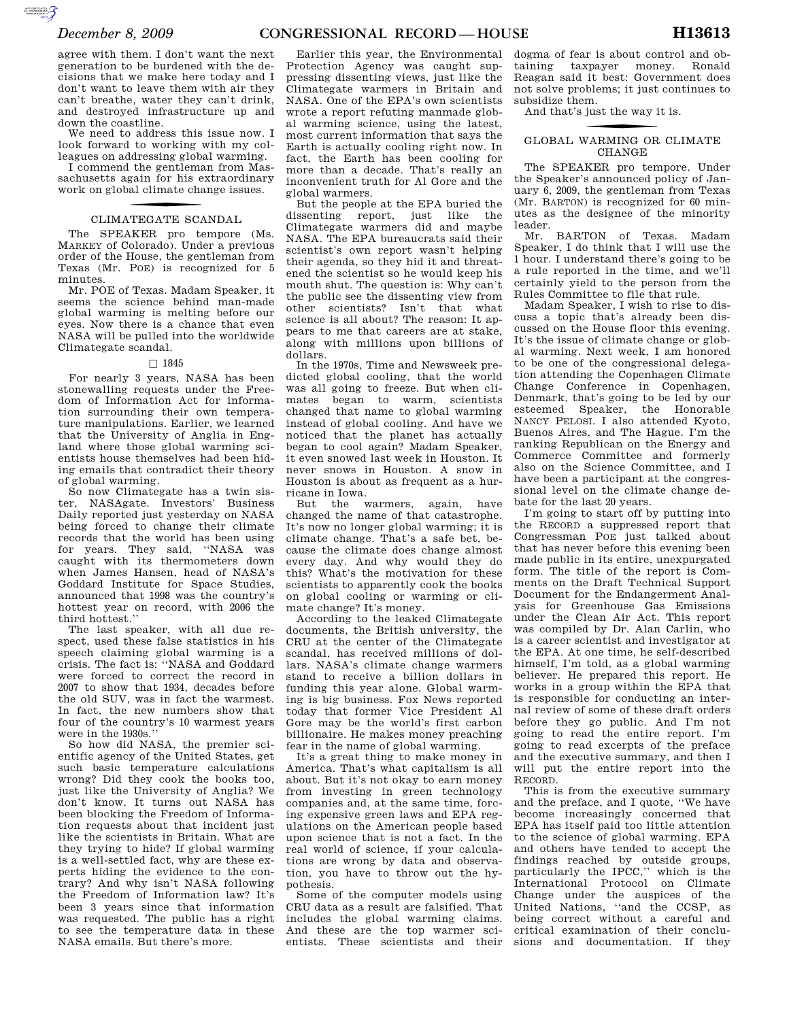$\sum_{\text{cyc}}$ 

agree with them. I don't want the next generation to be burdened with the decisions that we make here today and I don't want to leave them with air they can't breathe, water they can't drink, and destroyed infrastructure up and down the coastline.

We need to address this issue now. I look forward to working with my colleagues on addressing global warming.

I commend the gentleman from Massachusetts again for his extraordinary work on global climate change issues.

# CLIMATEGATE SCANDAL

The SPEAKER pro tempore (Ms. MARKEY of Colorado). Under a previous order of the House, the gentleman from Texas (Mr. POE) is recognized for 5 minutes.

Mr. POE of Texas. Madam Speaker, it seems the science behind man-made global warming is melting before our eyes. Now there is a chance that even NASA will be pulled into the worldwide Climategate scandal.

### $\Box$  1845

For nearly 3 years, NASA has been stonewalling requests under the Freedom of Information Act for information surrounding their own temperature manipulations. Earlier, we learned that the University of Anglia in England where those global warming scientists house themselves had been hiding emails that contradict their theory of global warming.

So now Climategate has a twin sister, NASAgate. Investors' Business Daily reported just yesterday on NASA being forced to change their climate records that the world has been using for years. They said, ''NASA was caught with its thermometers down when James Hansen, head of NASA's Goddard Institute for Space Studies, announced that 1998 was the country's hottest year on record, with 2006 the third hottest.''

The last speaker, with all due respect, used these false statistics in his speech claiming global warming is a crisis. The fact is: ''NASA and Goddard were forced to correct the record in 2007 to show that 1934, decades before the old SUV, was in fact the warmest. In fact, the new numbers show that four of the country's 10 warmest years were in the 1930s.''

So how did NASA, the premier scientific agency of the United States, get such basic temperature calculations wrong? Did they cook the books too, just like the University of Anglia? We don't know. It turns out NASA has been blocking the Freedom of Information requests about that incident just like the scientists in Britain. What are they trying to hide? If global warming is a well-settled fact, why are these experts hiding the evidence to the contrary? And why isn't NASA following the Freedom of Information law? It's been 3 years since that information was requested. The public has a right to see the temperature data in these NASA emails. But there's more.

Earlier this year, the Environmental Protection Agency was caught suppressing dissenting views, just like the Climategate warmers in Britain and NASA. One of the EPA's own scientists wrote a report refuting manmade global warming science, using the latest, most current information that says the Earth is actually cooling right now. In fact, the Earth has been cooling for more than a decade. That's really an inconvenient truth for Al Gore and the global warmers.

But the people at the EPA buried the dissenting report, just like the Climategate warmers did and maybe NASA. The EPA bureaucrats said their scientist's own report wasn't helping their agenda, so they hid it and threatened the scientist so he would keep his mouth shut. The question is: Why can't the public see the dissenting view from other scientists? Isn't that what science is all about? The reason: It appears to me that careers are at stake, along with millions upon billions of dollars.

In the 1970s, Time and Newsweek predicted global cooling, that the world was all going to freeze. But when climates began to warm, scientists changed that name to global warming instead of global cooling. And have we noticed that the planet has actually began to cool again? Madam Speaker, it even snowed last week in Houston. It never snows in Houston. A snow in Houston is about as frequent as a hurricane in Iowa.

But the warmers, again, have changed the name of that catastrophe. It's now no longer global warming; it is climate change. That's a safe bet, because the climate does change almost every day. And why would they do this? What's the motivation for these scientists to apparently cook the books on global cooling or warming or climate change? It's money.

According to the leaked Climategate documents, the British university, the CRU at the center of the Climategate scandal, has received millions of dollars. NASA's climate change warmers stand to receive a billion dollars in funding this year alone. Global warming is big business. Fox News reported today that former Vice President Al Gore may be the world's first carbon billionaire. He makes money preaching fear in the name of global warming.

It's a great thing to make money in America. That's what capitalism is all about. But it's not okay to earn money from investing in green technology companies and, at the same time, forcing expensive green laws and EPA regulations on the American people based upon science that is not a fact. In the real world of science, if your calculations are wrong by data and observation, you have to throw out the hypothesis.

Some of the computer models using CRU data as a result are falsified. That includes the global warming claims. And these are the top warmer scientists. These scientists and their

dogma of fear is about control and obtaining taxpayer money. Ronald Reagan said it best: Government does not solve problems; it just continues to subsidize them.

And that's just the way it is.

# f GLOBAL WARMING OR CLIMATE CHANGE

The SPEAKER pro tempore. Under the Speaker's announced policy of January 6, 2009, the gentleman from Texas (Mr. BARTON) is recognized for 60 minutes as the designee of the minority leader.

Mr. BARTON of Texas. Madam Speaker, I do think that I will use the 1 hour. I understand there's going to be a rule reported in the time, and we'll certainly yield to the person from the Rules Committee to file that rule.

Madam Speaker, I wish to rise to discuss a topic that's already been discussed on the House floor this evening. It's the issue of climate change or global warming. Next week, I am honored to be one of the congressional delegation attending the Copenhagen Climate Change Conference in Copenhagen, Denmark, that's going to be led by our esteemed Speaker, the Honorable NANCY PELOSI. I also attended Kyoto, Buenos Aires, and The Hague. I'm the ranking Republican on the Energy and Commerce Committee and formerly also on the Science Committee, and I have been a participant at the congressional level on the climate change debate for the last 20 years.

I'm going to start off by putting into the RECORD a suppressed report that Congressman POE just talked about that has never before this evening been made public in its entire, unexpurgated form. The title of the report is Comments on the Draft Technical Support Document for the Endangerment Analysis for Greenhouse Gas Emissions under the Clean Air Act. This report was compiled by Dr. Alan Carlin, who is a career scientist and investigator at the EPA. At one time, he self-described himself, I'm told, as a global warming believer. He prepared this report. He works in a group within the EPA that is responsible for conducting an internal review of some of these draft orders before they go public. And I'm not going to read the entire report. I'm going to read excerpts of the preface and the executive summary, and then I will put the entire report into the RECORD.

This is from the executive summary and the preface, and I quote, ''We have become increasingly concerned that EPA has itself paid too little attention to the science of global warming. EPA and others have tended to accept the findings reached by outside groups, particularly the IPCC,'' which is the International Protocol on Climate Change under the auspices of the United Nations, ''and the CCSP, as being correct without a careful and critical examination of their conclusions and documentation. If they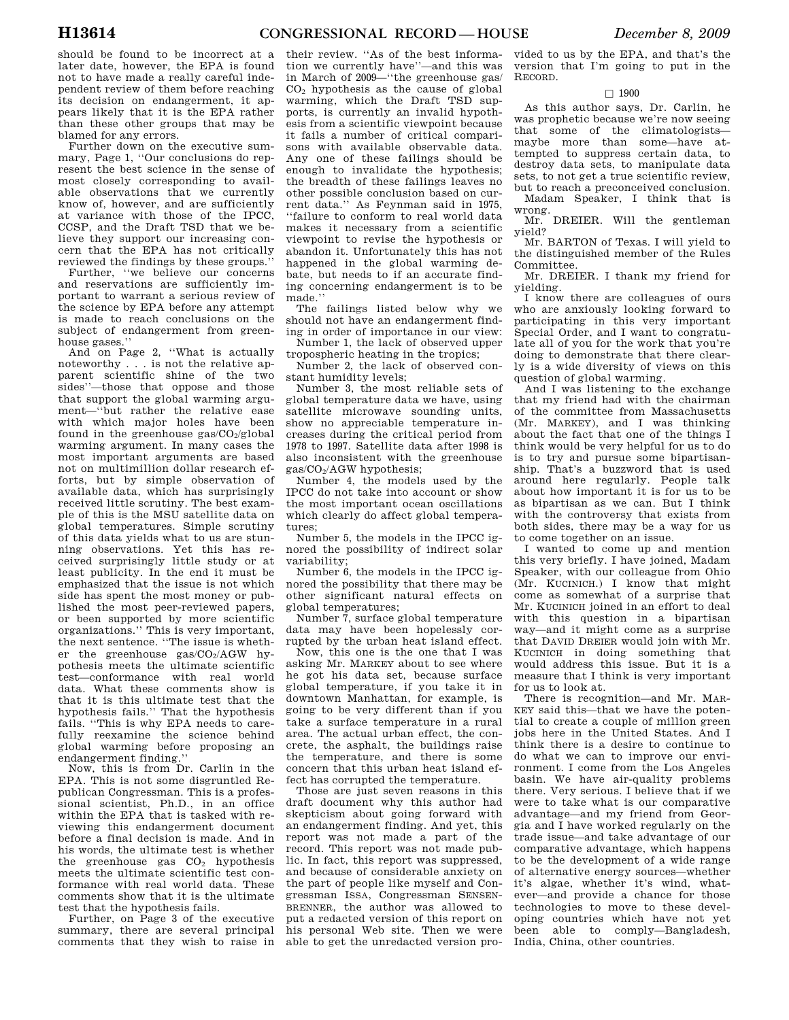should be found to be incorrect at a later date, however, the EPA is found not to have made a really careful independent review of them before reaching its decision on endangerment, it appears likely that it is the EPA rather than these other groups that may be blamed for any errors.

Further down on the executive summary, Page 1, ''Our conclusions do represent the best science in the sense of most closely corresponding to available observations that we currently know of, however, and are sufficiently at variance with those of the IPCC, CCSP, and the Draft TSD that we believe they support our increasing concern that the EPA has not critically reviewed the findings by these groups.''

Further, ''we believe our concerns and reservations are sufficiently important to warrant a serious review of the science by EPA before any attempt is made to reach conclusions on the subject of endangerment from greenhouse gases.''

And on Page 2, ''What is actually noteworthy . . . is not the relative apparent scientific shine of the two sides''—those that oppose and those that support the global warming argument—''but rather the relative ease with which major holes have been found in the greenhouse  $gas/CO<sub>2</sub>/global$ warming argument. In many cases the most important arguments are based not on multimillion dollar research efforts, but by simple observation of available data, which has surprisingly received little scrutiny. The best example of this is the MSU satellite data on global temperatures. Simple scrutiny of this data yields what to us are stunning observations. Yet this has received surprisingly little study or at least publicity. In the end it must be emphasized that the issue is not which side has spent the most money or published the most peer-reviewed papers, or been supported by more scientific organizations.'' This is very important, the next sentence. ''The issue is whether the greenhouse gas/CO2/AGW hypothesis meets the ultimate scientific test—conformance with real world data. What these comments show is that it is this ultimate test that the hypothesis fails.'' That the hypothesis fails. ''This is why EPA needs to carefully reexamine the science behind global warming before proposing an endangerment finding.''

Now, this is from Dr. Carlin in the EPA. This is not some disgruntled Republican Congressman. This is a professional scientist, Ph.D., in an office within the EPA that is tasked with reviewing this endangerment document before a final decision is made. And in his words, the ultimate test is whether the greenhouse gas  $CO<sub>2</sub>$  hypothesis meets the ultimate scientific test conformance with real world data. These comments show that it is the ultimate test that the hypothesis fails.

Further, on Page 3 of the executive summary, there are several principal comments that they wish to raise in

their review. ''As of the best information we currently have''—and this was in March of 2009—''the greenhouse gas/  $CO<sub>2</sub>$  hypothesis as the cause of global warming, which the Draft TSD supports, is currently an invalid hypothesis from a scientific viewpoint because it fails a number of critical comparisons with available observable data. Any one of these failings should be enough to invalidate the hypothesis; the breadth of these failings leaves no other possible conclusion based on current data.'' As Feynman said in 1975, ''failure to conform to real world data makes it necessary from a scientific viewpoint to revise the hypothesis or abandon it. Unfortunately this has not happened in the global warming debate, but needs to if an accurate finding concerning endangerment is to be made.''

The failings listed below why we should not have an endangerment finding in order of importance in our view:

Number 1, the lack of observed upper tropospheric heating in the tropics;

Number 2, the lack of observed constant humidity levels;

Number 3, the most reliable sets of global temperature data we have, using satellite microwave sounding units, show no appreciable temperature increases during the critical period from 1978 to 1997. Satellite data after 1998 is also inconsistent with the greenhouse gas/CO2/AGW hypothesis;

Number 4, the models used by the IPCC do not take into account or show the most important ocean oscillations which clearly do affect global temperatures;

Number 5, the models in the IPCC ignored the possibility of indirect solar variability;

Number 6, the models in the IPCC ignored the possibility that there may be other significant natural effects on global temperatures;

Number 7, surface global temperature data may have been hopelessly corrupted by the urban heat island effect.

Now, this one is the one that I was asking Mr. MARKEY about to see where he got his data set, because surface global temperature, if you take it in downtown Manhattan, for example, is going to be very different than if you take a surface temperature in a rural area. The actual urban effect, the concrete, the asphalt, the buildings raise the temperature, and there is some concern that this urban heat island effect has corrupted the temperature.

Those are just seven reasons in this draft document why this author had skepticism about going forward with an endangerment finding. And yet, this report was not made a part of the record. This report was not made public. In fact, this report was suppressed, and because of considerable anxiety on the part of people like myself and Congressman ISSA, Congressman SENSEN-BRENNER, the author was allowed to put a redacted version of this report on his personal Web site. Then we were able to get the unredacted version pro-

vided to us by the EPA, and that's the version that I'm going to put in the RECORD.

## $\Box$  1900

As this author says, Dr. Carlin, he was prophetic because we're now seeing that some of the climatologists maybe more than some—have attempted to suppress certain data, to destroy data sets, to manipulate data sets, to not get a true scientific review, but to reach a preconceived conclusion.

Madam Speaker, I think that is wrong.

Mr. DREIER. Will the gentleman yield?

Mr. BARTON of Texas. I will yield to the distinguished member of the Rules Committee.

Mr. DREIER. I thank my friend for yielding.

I know there are colleagues of ours who are anxiously looking forward to participating in this very important Special Order, and I want to congratulate all of you for the work that you're doing to demonstrate that there clearly is a wide diversity of views on this question of global warming.

And I was listening to the exchange that my friend had with the chairman of the committee from Massachusetts (Mr. MARKEY), and I was thinking about the fact that one of the things I think would be very helpful for us to do is to try and pursue some bipartisanship. That's a buzzword that is used around here regularly. People talk about how important it is for us to be as bipartisan as we can. But I think with the controversy that exists from both sides, there may be a way for us to come together on an issue.

I wanted to come up and mention this very briefly. I have joined, Madam Speaker, with our colleague from Ohio (Mr. KUCINICH.) I know that might come as somewhat of a surprise that Mr. KUCINICH joined in an effort to deal with this question in a bipartisan way—and it might come as a surprise that DAVID DREIER would join with Mr. KUCINICH in doing something that would address this issue. But it is a measure that I think is very important for us to look at.

There is recognition—and Mr. MAR-KEY said this—that we have the potential to create a couple of million green jobs here in the United States. And I think there is a desire to continue to do what we can to improve our environment. I come from the Los Angeles basin. We have air-quality problems there. Very serious. I believe that if we were to take what is our comparative advantage—and my friend from Georgia and I have worked regularly on the trade issue—and take advantage of our comparative advantage, which happens to be the development of a wide range of alternative energy sources—whether it's algae, whether it's wind, whatever—and provide a chance for those technologies to move to these developing countries which have not yet been able to comply—Bangladesh, India, China, other countries.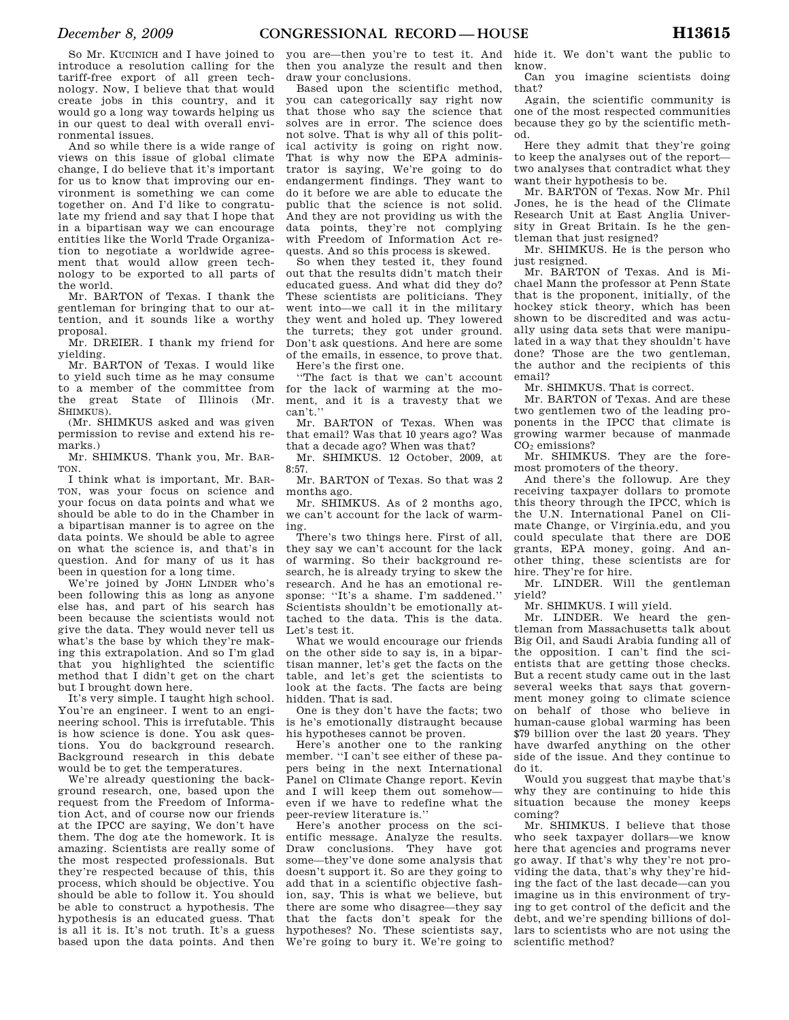So Mr. KUCINICH and I have joined to introduce a resolution calling for the tariff-free export of all green technology. Now, I believe that that would create jobs in this country, and it would go a long way towards helping us in our quest to deal with overall environmental issues.

And so while there is a wide range of views on this issue of global climate change, I do believe that it's important for us to know that improving our environment is something we can come together on. And I'd like to congratulate my friend and say that I hope that in a bipartisan way we can encourage entities like the World Trade Organization to negotiate a worldwide agreement that would allow green technology to be exported to all parts of the world.

Mr. BARTON of Texas. I thank the gentleman for bringing that to our attention, and it sounds like a worthy proposal.

Mr. DREIER. I thank my friend for yielding.

Mr. BARTON of Texas. I would like to yield such time as he may consume to a member of the committee from the great State of Illinois (Mr. SHIMKUS).

(Mr. SHIMKUS asked and was given permission to revise and extend his remarks)

Mr. SHIMKUS. Thank you, Mr. BAR-TON.

I think what is important, Mr. BAR-TON, was your focus on science and your focus on data points and what we should be able to do in the Chamber in a bipartisan manner is to agree on the data points. We should be able to agree on what the science is, and that's in question. And for many of us it has been in question for a long time.

We're joined by JOHN LINDER who's been following this as long as anyone else has, and part of his search has been because the scientists would not give the data. They would never tell us what's the base by which they're making this extrapolation. And so I'm glad that you highlighted the scientific method that I didn't get on the chart but I brought down here.

It's very simple. I taught high school. You're an engineer. I went to an engineering school. This is irrefutable. This is how science is done. You ask questions. You do background research. Background research in this debate would be to get the temperatures.

We're already questioning the background research, one, based upon the request from the Freedom of Information Act, and of course now our friends at the IPCC are saying, We don't have them. The dog ate the homework. It is amazing. Scientists are really some of the most respected professionals. But they're respected because of this, this process, which should be objective. You should be able to follow it. You should be able to construct a hypothesis. The hypothesis is an educated guess. That is all it is. It's not truth. It's a guess based upon the data points. And then

you are—then you're to test it. And then you analyze the result and then draw your conclusions.

Based upon the scientific method, you can categorically say right now that those who say the science that solves are in error. The science does not solve. That is why all of this political activity is going on right now. That is why now the EPA administrator is saying, We're going to do endangerment findings. They want to do it before we are able to educate the public that the science is not solid. And they are not providing us with the data points, they're not complying with Freedom of Information Act requests. And so this process is skewed.

So when they tested it, they found out that the results didn't match their educated guess. And what did they do? These scientists are politicians. They went into—we call it in the military they went and holed up. They lowered the turrets; they got under ground. Don't ask questions. And here are some of the emails, in essence, to prove that. Here's the first one.

''The fact is that we can't account for the lack of warming at the moment, and it is a travesty that we

can't.'' Mr. BARTON of Texas. When was that email? Was that 10 years ago? Was that a decade ago? When was that?

Mr. SHIMKUS. 12 October, 2009, at 8:57.

Mr. BARTON of Texas. So that was 2 months ago.

Mr. SHIMKUS. As of 2 months ago, we can't account for the lack of warming.

There's two things here. First of all, they say we can't account for the lack of warming. So their background research, he is already trying to skew the research. And he has an emotional response: ''It's a shame. I'm saddened.'' Scientists shouldn't be emotionally attached to the data. This is the data. Let's test it.

What we would encourage our friends on the other side to say is, in a bipartisan manner, let's get the facts on the table, and let's get the scientists to look at the facts. The facts are being hidden. That is sad.

One is they don't have the facts; two is he's emotionally distraught because his hypotheses cannot be proven.

Here's another one to the ranking member. ''I can't see either of these papers being in the next International Panel on Climate Change report. Kevin and I will keep them out somehow even if we have to redefine what the peer-review literature is.''

Here's another process on the scientific message. Analyze the results. Draw conclusions. They have got some—they've done some analysis that doesn't support it. So are they going to add that in a scientific objective fashion, say, This is what we believe, but there are some who disagree—they say that the facts don't speak for the hypotheses? No. These scientists say, We're going to bury it. We're going to

hide it. We don't want the public to know.

Can you imagine scientists doing that?

Again, the scientific community is one of the most respected communities because they go by the scientific method.

Here they admit that they're going to keep the analyses out of the report two analyses that contradict what they want their hypothesis to be.

Mr. BARTON of Texas. Now Mr. Phil Jones, he is the head of the Climate Research Unit at East Anglia University in Great Britain. Is he the gentleman that just resigned?

Mr. SHIMKUS. He is the person who just resigned.

Mr. BARTON of Texas. And is Michael Mann the professor at Penn State that is the proponent, initially, of the hockey stick theory, which has been shown to be discredited and was actually using data sets that were manipulated in a way that they shouldn't have done? Those are the two gentleman, the author and the recipients of this email?

Mr. SHIMKUS. That is correct.

Mr. BARTON of Texas. And are these two gentlemen two of the leading proponents in the IPCC that climate is growing warmer because of manmade CO<sup>2</sup> emissions?

Mr. SHIMKUS. They are the foremost promoters of the theory.

And there's the followup. Are they receiving taxpayer dollars to promote this theory through the IPCC, which is the U.N. International Panel on Climate Change, or Virginia.edu, and you could speculate that there are DOE grants, EPA money, going. And another thing, these scientists are for hire. They're for hire.

Mr. LINDER. Will the gentleman yield?

Mr. SHIMKUS. I will yield.

Mr. LINDER. We heard the gentleman from Massachusetts talk about Big Oil, and Saudi Arabia funding all of the opposition. I can't find the scientists that are getting those checks. But a recent study came out in the last several weeks that says that government money going to climate science on behalf of those who believe in human-cause global warming has been \$79 billion over the last 20 years. They have dwarfed anything on the other side of the issue. And they continue to do it.

Would you suggest that maybe that's why they are continuing to hide this situation because the money keeps coming?

Mr. SHIMKUS. I believe that those who seek taxpayer dollars—we know here that agencies and programs never go away. If that's why they're not providing the data, that's why they're hiding the fact of the last decade—can you imagine us in this environment of trying to get control of the deficit and the debt, and we're spending billions of dollars to scientists who are not using the scientific method?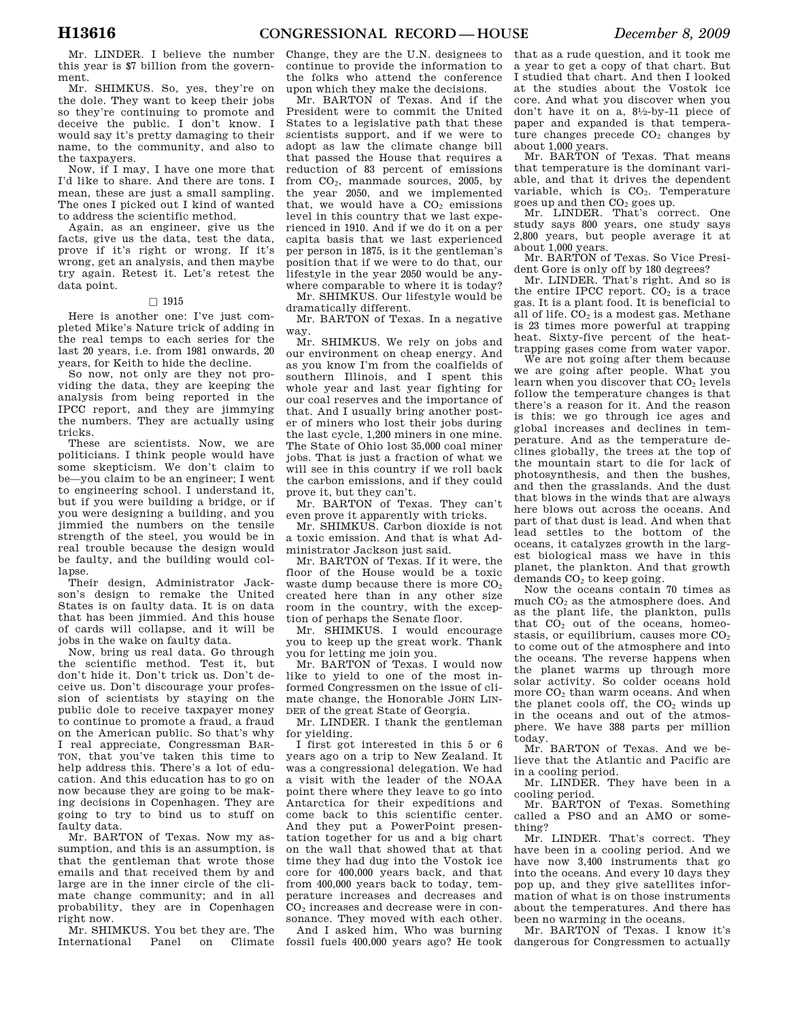Mr. LINDER. I believe the number this year is \$7 billion from the government.

Mr. SHIMKUS. So, yes, they're on the dole. They want to keep their jobs so they're continuing to promote and deceive the public. I don't know. I would say it's pretty damaging to their name, to the community, and also to the taxpayers.

Now, if I may, I have one more that I'd like to share. And there are tons. I mean, these are just a small sampling. The ones I picked out I kind of wanted to address the scientific method.

Again, as an engineer, give us the facts, give us the data, test the data, prove if it's right or wrong. If it's wrong, get an analysis, and then maybe try again. Retest it. Let's retest the data point.

### $\Box$  1915

Here is another one: I've just completed Mike's Nature trick of adding in the real temps to each series for the last 20 years, i.e. from 1981 onwards, 20 years, for Keith to hide the decline.

So now, not only are they not providing the data, they are keeping the analysis from being reported in the IPCC report, and they are jimmying the numbers. They are actually using tricks.

These are scientists. Now, we are politicians. I think people would have some skepticism. We don't claim to be—you claim to be an engineer; I went to engineering school. I understand it, but if you were building a bridge, or if you were designing a building, and you jimmied the numbers on the tensile strength of the steel, you would be in real trouble because the design would be faulty, and the building would collapse.

Their design, Administrator Jackson's design to remake the United States is on faulty data. It is on data that has been jimmied. And this house of cards will collapse, and it will be jobs in the wake on faulty data.

Now, bring us real data. Go through the scientific method. Test it, but don't hide it. Don't trick us. Don't deceive us. Don't discourage your profession of scientists by staying on the public dole to receive taxpayer money to continue to promote a fraud, a fraud on the American public. So that's why I real appreciate, Congressman BAR-TON, that you've taken this time to help address this. There's a lot of education. And this education has to go on now because they are going to be making decisions in Copenhagen. They are going to try to bind us to stuff on faulty data.

Mr. BARTON of Texas. Now my assumption, and this is an assumption, is that the gentleman that wrote those emails and that received them by and large are in the inner circle of the climate change community; and in all probability, they are in Copenhagen right now.

Mr. SHIMKUS. You bet they are. The International Panel on Climate

Change, they are the U.N. designees to continue to provide the information to the folks who attend the conference upon which they make the decisions.

Mr. BARTON of Texas. And if the President were to commit the United States to a legislative path that these scientists support, and if we were to adopt as law the climate change bill that passed the House that requires a reduction of 83 percent of emissions from CO2, manmade sources, 2005, by the year 2050, and we implemented that, we would have a  $CO<sub>2</sub>$  emissions level in this country that we last experienced in 1910. And if we do it on a per capita basis that we last experienced per person in 1875, is it the gentleman's position that if we were to do that, our lifestyle in the year 2050 would be anywhere comparable to where it is today?

Mr. SHIMKUS. Our lifestyle would be dramatically different.

Mr. BARTON of Texas. In a negative way.

Mr. SHIMKUS. We rely on jobs and our environment on cheap energy. And as you know I'm from the coalfields of southern Illinois, and I spent this whole year and last year fighting for our coal reserves and the importance of that. And I usually bring another poster of miners who lost their jobs during the last cycle, 1,200 miners in one mine. The State of Ohio lost 35,000 coal miner jobs. That is just a fraction of what we will see in this country if we roll back the carbon emissions, and if they could prove it, but they can't.

Mr. BARTON of Texas. They can't even prove it apparently with tricks.

Mr. SHIMKUS. Carbon dioxide is not a toxic emission. And that is what Administrator Jackson just said.

Mr. BARTON of Texas. If it were, the floor of the House would be a toxic waste dump because there is more  $CO<sub>2</sub>$ created here than in any other size room in the country, with the exception of perhaps the Senate floor.

Mr. SHIMKUS. I would encourage you to keep up the great work. Thank you for letting me join you.

Mr. BARTON of Texas. I would now like to yield to one of the most informed Congressmen on the issue of climate change, the Honorable JOHN LIN-DER of the great State of Georgia.

Mr. LINDER. I thank the gentleman for yielding.

I first got interested in this 5 or 6 years ago on a trip to New Zealand. It was a congressional delegation. We had a visit with the leader of the NOAA point there where they leave to go into Antarctica for their expeditions and come back to this scientific center. And they put a PowerPoint presentation together for us and a big chart on the wall that showed that at that time they had dug into the Vostok ice core for 400,000 years back, and that from 400,000 years back to today, temperature increases and decreases and CO<sup>2</sup> increases and decrease were in consonance. They moved with each other.

And I asked him, Who was burning fossil fuels 400,000 years ago? He took

that as a rude question, and it took me a year to get a copy of that chart. But I studied that chart. And then I looked at the studies about the Vostok ice core. And what you discover when you don't have it on a, 81⁄2-by-11 piece of paper and expanded is that temperature changes precede  $CO<sub>2</sub>$  changes by about 1,000 years.

Mr. BARTON of Texas. That means that temperature is the dominant variable, and that it drives the dependent variable, which is  $CO<sub>2</sub>$ . Temperature goes up and then  $CO<sub>2</sub>$  goes up.

Mr. LINDER. That's correct. One study says 800 years, one study says 2,800 years, but people average it at about 1,000 years.

Mr. BARTON of Texas. So Vice President Gore is only off by 180 degrees?

Mr. LINDER. That's right. And so is the entire IPCC report.  $CO<sub>2</sub>$  is a trace gas. It is a plant food. It is beneficial to all of life.  $CO<sub>2</sub>$  is a modest gas. Methane is 23 times more powerful at trapping heat. Sixty-five percent of the heattrapping gases come from water vapor.

We are not going after them because we are going after people. What you learn when you discover that CO<sub>2</sub> levels follow the temperature changes is that there's a reason for it. And the reason is this: we go through ice ages and global increases and declines in temperature. And as the temperature declines globally, the trees at the top of the mountain start to die for lack of photosynthesis, and then the bushes, and then the grasslands. And the dust that blows in the winds that are always here blows out across the oceans. And part of that dust is lead. And when that lead settles to the bottom of the oceans, it catalyzes growth in the largest biological mass we have in this planet, the plankton. And that growth  $demands CO<sub>2</sub>$  to keep going.

Now the oceans contain 70 times as much CO<sup>2</sup> as the atmosphere does. And as the plant life, the plankton, pulls that  $CO<sub>2</sub>$  out of the oceans, homeostasis, or equilibrium, causes more  $CO<sub>2</sub>$ to come out of the atmosphere and into the oceans. The reverse happens when the planet warms up through more solar activity. So colder oceans hold more CO<sup>2</sup> than warm oceans. And when the planet cools off, the  $CO<sub>2</sub>$  winds up in the oceans and out of the atmosphere. We have 388 parts per million today.

Mr. BARTON of Texas. And we believe that the Atlantic and Pacific are in a cooling period.

Mr. LINDER. They have been in a cooling period.

Mr. BARTON of Texas. Something called a PSO and an AMO or something?

Mr. LINDER. That's correct. They have been in a cooling period. And we have now 3,400 instruments that go into the oceans. And every 10 days they pop up, and they give satellites information of what is on those instruments about the temperatures. And there has been no warming in the oceans.

Mr. BARTON of Texas. I know it's dangerous for Congressmen to actually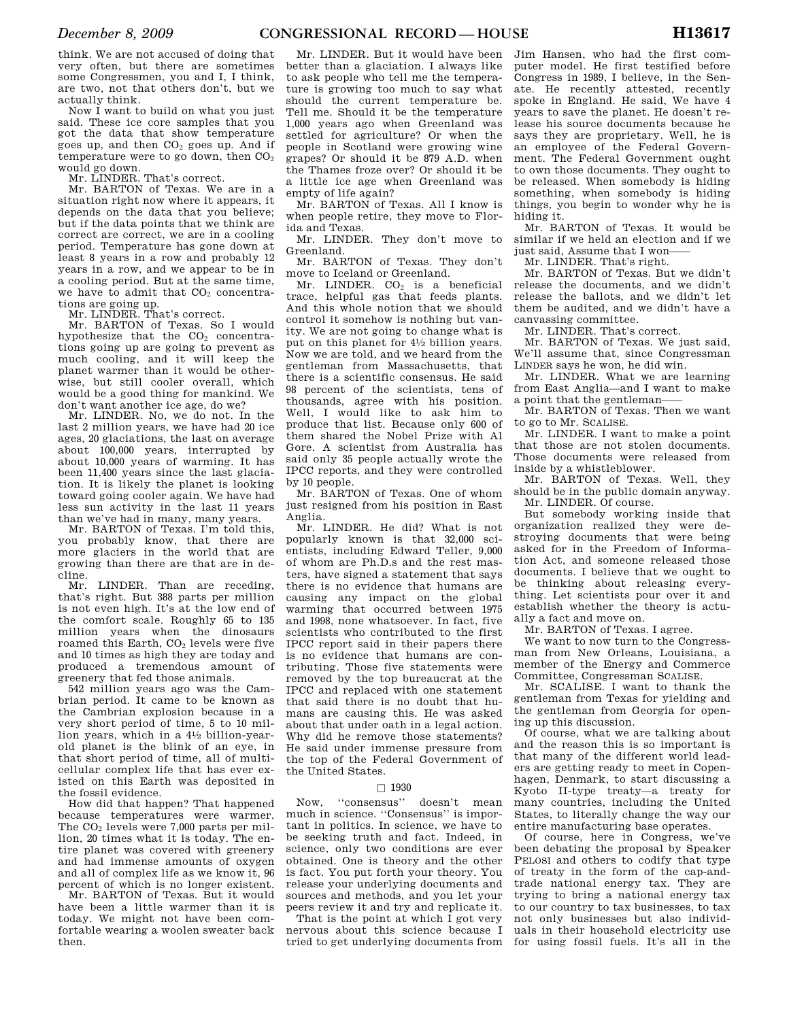think. We are not accused of doing that very often, but there are sometimes some Congressmen, you and I, I think, are two, not that others don't, but we actually think.

Now I want to build on what you just said. These ice core samples that you got the data that show temperature goes up, and then  $CO<sub>2</sub>$  goes up. And if temperature were to go down, then  $CO<sub>2</sub>$ would go down.

Mr. LINDER. That's correct.

Mr. BARTON of Texas. We are in a situation right now where it appears, it depends on the data that you believe; but if the data points that we think are correct are correct, we are in a cooling period. Temperature has gone down at least 8 years in a row and probably 12 years in a row, and we appear to be in a cooling period. But at the same time, we have to admit that  $CO<sub>2</sub>$  concentrations are going up.

Mr. LINDER. That's correct.

Mr. BARTON of Texas. So I would hypothesize that the  $CO<sub>2</sub>$  concentrations going up are going to prevent as much cooling, and it will keep the planet warmer than it would be otherwise, but still cooler overall, which would be a good thing for mankind. We don't want another ice age, do we?

Mr. LINDER. No, we do not. In the last 2 million years, we have had 20 ice ages, 20 glaciations, the last on average about 100,000 years, interrupted by about 10,000 years of warming. It has been 11,400 years since the last glaciation. It is likely the planet is looking toward going cooler again. We have had less sun activity in the last 11 years than we've had in many, many years.

Mr. BARTON of Texas. I'm told this, you probably know, that there are more glaciers in the world that are growing than there are that are in decline.

Mr. LINDER. Than are receding, that's right. But 388 parts per million is not even high. It's at the low end of the comfort scale. Roughly 65 to 135 million years when the dinosaurs roamed this Earth,  $CO<sub>2</sub>$  levels were five and 10 times as high they are today and produced a tremendous amount of greenery that fed those animals.

542 million years ago was the Cambrian period. It came to be known as the Cambrian explosion because in a very short period of time, 5 to 10 million years, which in a 41⁄2 billion-yearold planet is the blink of an eye, in that short period of time, all of multicellular complex life that has ever existed on this Earth was deposited in the fossil evidence.

How did that happen? That happened because temperatures were warmer. The  $CO<sub>2</sub>$  levels were 7,000 parts per million, 20 times what it is today. The entire planet was covered with greenery and had immense amounts of oxygen and all of complex life as we know it, 96 percent of which is no longer existent.

Mr. BARTON of Texas. But it would have been a little warmer than it is today. We might not have been comfortable wearing a woolen sweater back then.

Mr. LINDER. But it would have been better than a glaciation. I always like to ask people who tell me the temperature is growing too much to say what should the current temperature be. Tell me. Should it be the temperature 1,000 years ago when Greenland was settled for agriculture? Or when the people in Scotland were growing wine grapes? Or should it be 879 A.D. when the Thames froze over? Or should it be a little ice age when Greenland was empty of life again?

Mr. BARTON of Texas. All I know is when people retire, they move to Florida and Texas.

Mr. LINDER. They don't move to Greenland.

Mr. BARTON of Texas. They don't move to Iceland or Greenland.

Mr. LINDER.  $CO<sub>2</sub>$  is a beneficial trace, helpful gas that feeds plants. And this whole notion that we should control it somehow is nothing but vanity. We are not going to change what is put on this planet for 41⁄2 billion years. Now we are told, and we heard from the gentleman from Massachusetts, that there is a scientific consensus. He said 98 percent of the scientists, tens of thousands, agree with his position. Well, I would like to ask him to produce that list. Because only 600 of them shared the Nobel Prize with Al Gore. A scientist from Australia has said only 35 people actually wrote the IPCC reports, and they were controlled by 10 people.

Mr. BARTON of Texas. One of whom just resigned from his position in East Anglia.

Mr. LINDER. He did? What is not popularly known is that 32,000 scientists, including Edward Teller, 9,000 of whom are Ph.D.s and the rest masters, have signed a statement that says there is no evidence that humans are causing any impact on the global warming that occurred between 1975 and 1998, none whatsoever. In fact, five scientists who contributed to the first IPCC report said in their papers there is no evidence that humans are contributing. Those five statements were removed by the top bureaucrat at the IPCC and replaced with one statement that said there is no doubt that humans are causing this. He was asked about that under oath in a legal action. Why did he remove those statements? He said under immense pressure from the top of the Federal Government of the United States.

 $\Box$  1930<br>"consensus" Now, ''consensus'' doesn't mean much in science. ''Consensus'' is important in politics. In science, we have to be seeking truth and fact. Indeed, in science, only two conditions are ever obtained. One is theory and the other is fact. You put forth your theory. You release your underlying documents and sources and methods, and you let your peers review it and try and replicate it.

That is the point at which I got very nervous about this science because I Jim Hansen, who had the first computer model. He first testified before Congress in 1989, I believe, in the Senate. He recently attested, recently spoke in England. He said, We have 4 years to save the planet. He doesn't release his source documents because he says they are proprietary. Well, he is an employee of the Federal Government. The Federal Government ought to own those documents. They ought to be released. When somebody is hiding something, when somebody is hiding things, you begin to wonder why he is hiding it.

Mr. BARTON of Texas. It would be similar if we held an election and if we just said, Assume that I won-

Mr. LINDER. That's right.

Mr. BARTON of Texas. But we didn't release the documents, and we didn't release the ballots, and we didn't let them be audited, and we didn't have a canvassing committee.

Mr. LINDER. That's correct.

Mr. BARTON of Texas. We just said, We'll assume that, since Congressman LINDER says he won, he did win.

Mr. LINDER. What we are learning from East Anglia—and I want to make a point that the gentleman——

Mr. BARTON of Texas. Then we want to go to Mr. SCALISE.

Mr. LINDER. I want to make a point that those are not stolen documents. Those documents were released from inside by a whistleblower.

Mr. BARTON of Texas. Well, they should be in the public domain anyway. Mr. LINDER. Of course.

But somebody working inside that organization realized they were destroying documents that were being asked for in the Freedom of Information Act, and someone released those documents. I believe that we ought to be thinking about releasing everything. Let scientists pour over it and establish whether the theory is actually a fact and move on.

Mr. BARTON of Texas. I agree.

We want to now turn to the Congressman from New Orleans, Louisiana, a member of the Energy and Commerce Committee, Congressman SCALISE.

Mr. SCALISE. I want to thank the gentleman from Texas for yielding and the gentleman from Georgia for opening up this discussion.

Of course, what we are talking about and the reason this is so important is that many of the different world leaders are getting ready to meet in Copenhagen, Denmark, to start discussing a Kyoto II-type treaty—a treaty for many countries, including the United States, to literally change the way our entire manufacturing base operates.

tried to get underlying documents from for using fossil fuels. It's all in the Of course, here in Congress, we've been debating the proposal by Speaker PELOSI and others to codify that type of treaty in the form of the cap-andtrade national energy tax. They are trying to bring a national energy tax to our country to tax businesses, to tax not only businesses but also individuals in their household electricity use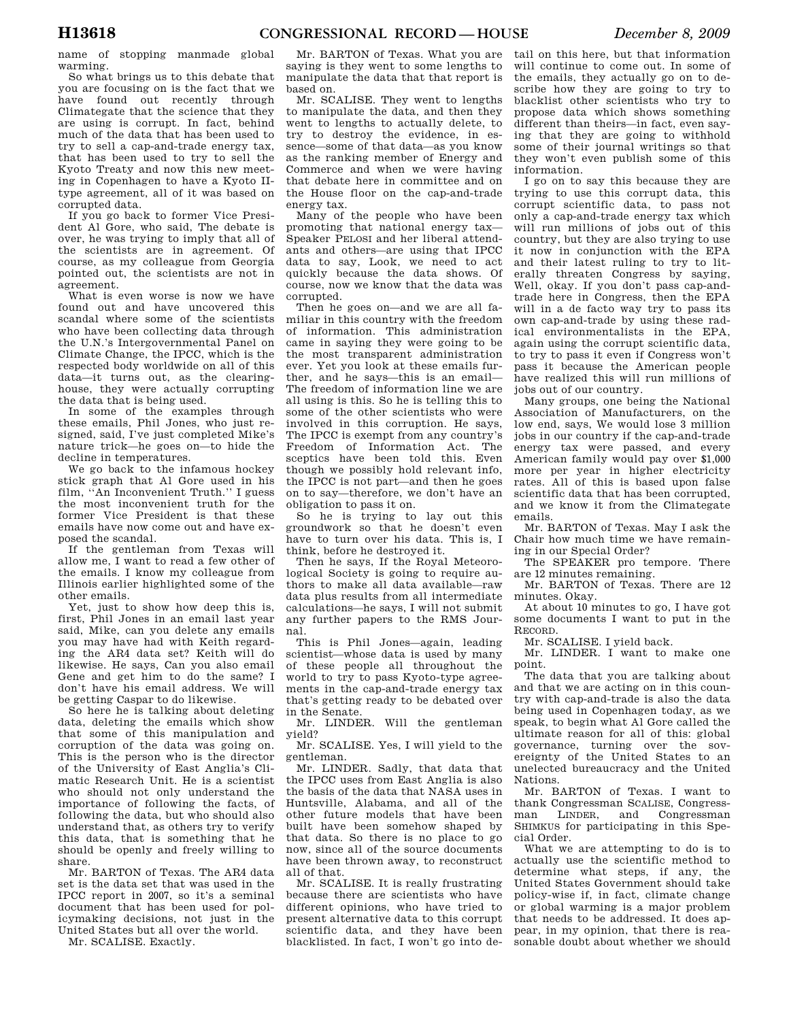name of stopping manmade global warming.

So what brings us to this debate that you are focusing on is the fact that we have found out recently through Climategate that the science that they are using is corrupt. In fact, behind much of the data that has been used to try to sell a cap-and-trade energy tax, that has been used to try to sell the Kyoto Treaty and now this new meeting in Copenhagen to have a Kyoto IItype agreement, all of it was based on corrupted data.

If you go back to former Vice President Al Gore, who said, The debate is over, he was trying to imply that all of the scientists are in agreement. Of course, as my colleague from Georgia pointed out, the scientists are not in agreement.

What is even worse is now we have found out and have uncovered this scandal where some of the scientists who have been collecting data through the U.N.'s Intergovernmental Panel on Climate Change, the IPCC, which is the respected body worldwide on all of this data—it turns out, as the clearinghouse, they were actually corrupting the data that is being used.

In some of the examples through these emails, Phil Jones, who just resigned, said, I've just completed Mike's nature trick—he goes on—to hide the decline in temperatures.

We go back to the infamous hockey stick graph that Al Gore used in his film, ''An Inconvenient Truth.'' I guess the most inconvenient truth for the former Vice President is that these emails have now come out and have exposed the scandal.

If the gentleman from Texas will allow me, I want to read a few other of the emails. I know my colleague from Illinois earlier highlighted some of the other emails.

Yet, just to show how deep this is, first, Phil Jones in an email last year said, Mike, can you delete any emails you may have had with Keith regarding the AR4 data set? Keith will do likewise. He says, Can you also email Gene and get him to do the same? I don't have his email address. We will be getting Caspar to do likewise.

So here he is talking about deleting data, deleting the emails which show that some of this manipulation and corruption of the data was going on. This is the person who is the director of the University of East Anglia's Climatic Research Unit. He is a scientist who should not only understand the importance of following the facts, of following the data, but who should also understand that, as others try to verify this data, that is something that he should be openly and freely willing to share.

Mr. BARTON of Texas. The AR4 data set is the data set that was used in the IPCC report in 2007, so it's a seminal document that has been used for policymaking decisions, not just in the United States but all over the world.

Mr. SCALISE. Exactly.

Mr. BARTON of Texas. What you are saying is they went to some lengths to manipulate the data that that report is based on.

Mr. SCALISE. They went to lengths to manipulate the data, and then they went to lengths to actually delete, to try to destroy the evidence, in essence—some of that data—as you know as the ranking member of Energy and Commerce and when we were having that debate here in committee and on the House floor on the cap-and-trade energy tax.

Many of the people who have been promoting that national energy tax— Speaker PELOSI and her liberal attendants and others—are using that IPCC data to say, Look, we need to act quickly because the data shows. Of course, now we know that the data was corrupted.

Then he goes on—and we are all familiar in this country with the freedom of information. This administration came in saying they were going to be the most transparent administration ever. Yet you look at these emails further, and he says—this is an email— The freedom of information line we are all using is this. So he is telling this to some of the other scientists who were involved in this corruption. He says, The IPCC is exempt from any country's Freedom of Information Act. The sceptics have been told this. Even though we possibly hold relevant info, the IPCC is not part—and then he goes on to say—therefore, we don't have an obligation to pass it on.

So he is trying to lay out this groundwork so that he doesn't even have to turn over his data. This is, I think, before he destroyed it.

Then he says, If the Royal Meteorological Society is going to require authors to make all data available—raw data plus results from all intermediate calculations—he says, I will not submit any further papers to the RMS Journal.

This is Phil Jones—again, leading scientist—whose data is used by many of these people all throughout the world to try to pass Kyoto-type agreements in the cap-and-trade energy tax that's getting ready to be debated over in the Senate.

Mr. LINDER. Will the gentleman yield?

Mr. SCALISE. Yes, I will yield to the gentleman.

Mr. LINDER. Sadly, that data that the IPCC uses from East Anglia is also the basis of the data that NASA uses in Huntsville, Alabama, and all of the other future models that have been built have been somehow shaped by that data. So there is no place to go now, since all of the source documents have been thrown away, to reconstruct all of that.

Mr. SCALISE. It is really frustrating because there are scientists who have different opinions, who have tried to present alternative data to this corrupt scientific data, and they have been blacklisted. In fact, I won't go into de-

tail on this here, but that information will continue to come out. In some of the emails, they actually go on to describe how they are going to try to blacklist other scientists who try to propose data which shows something different than theirs—in fact, even saying that they are going to withhold some of their journal writings so that they won't even publish some of this information.

I go on to say this because they are trying to use this corrupt data, this corrupt scientific data, to pass not only a cap-and-trade energy tax which will run millions of jobs out of this country, but they are also trying to use it now in conjunction with the EPA and their latest ruling to try to literally threaten Congress by saying, Well, okay. If you don't pass cap-andtrade here in Congress, then the EPA will in a de facto way try to pass its own cap-and-trade by using these radical environmentalists in the EPA, again using the corrupt scientific data, to try to pass it even if Congress won't pass it because the American people have realized this will run millions of jobs out of our country.

Many groups, one being the National Association of Manufacturers, on the low end, says, We would lose 3 million jobs in our country if the cap-and-trade energy tax were passed, and every American family would pay over \$1,000 more per year in higher electricity rates. All of this is based upon false scientific data that has been corrupted, and we know it from the Climategate emails.

Mr. BARTON of Texas. May I ask the Chair how much time we have remaining in our Special Order?

The SPEAKER pro tempore. There are 12 minutes remaining.

Mr. BARTON of Texas. There are 12 minutes. Okay.

At about 10 minutes to go, I have got some documents I want to put in the RECORD.

Mr. SCALISE. I yield back.

Mr. LINDER. I want to make one point.

The data that you are talking about and that we are acting on in this country with cap-and-trade is also the data being used in Copenhagen today, as we speak, to begin what Al Gore called the ultimate reason for all of this: global governance, turning over the sovereignty of the United States to an unelected bureaucracy and the United Nations.

Mr. BARTON of Texas. I want to thank Congressman SCALISE, Congressman LINDER, and Congressman SHIMKUS for participating in this Special Order.

What we are attempting to do is to actually use the scientific method to determine what steps, if any, the United States Government should take policy-wise if, in fact, climate change or global warming is a major problem that needs to be addressed. It does appear, in my opinion, that there is reasonable doubt about whether we should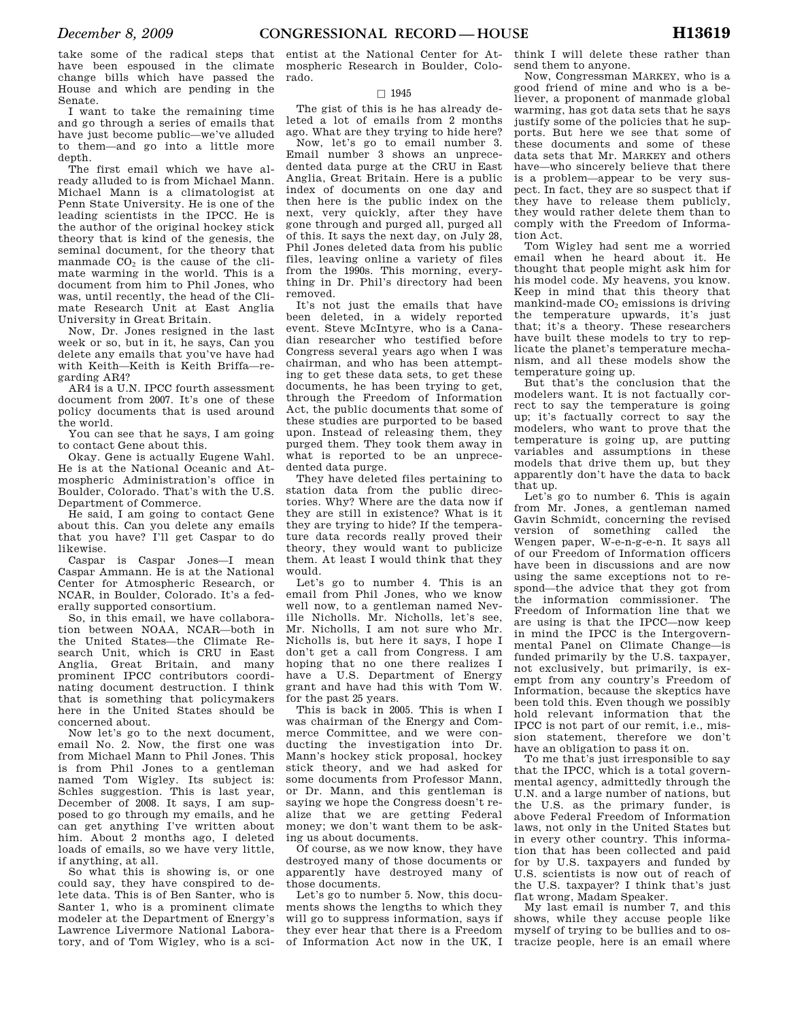take some of the radical steps that have been espoused in the climate change bills which have passed the House and which are pending in the Senate.

I want to take the remaining time and go through a series of emails that have just become public—we've alluded to them—and go into a little more depth.

The first email which we have already alluded to is from Michael Mann. Michael Mann is a climatologist at Penn State University. He is one of the leading scientists in the IPCC. He is the author of the original hockey stick theory that is kind of the genesis, the seminal document, for the theory that manmade  $CO<sub>2</sub>$  is the cause of the climate warming in the world. This is a document from him to Phil Jones, who was, until recently, the head of the Climate Research Unit at East Anglia University in Great Britain.

Now, Dr. Jones resigned in the last week or so, but in it, he says, Can you delete any emails that you've have had with Keith—Keith is Keith Briffa—regarding AR4?

AR4 is a U.N. IPCC fourth assessment document from 2007. It's one of these policy documents that is used around the world.

You can see that he says, I am going to contact Gene about this.

Okay. Gene is actually Eugene Wahl. He is at the National Oceanic and Atmospheric Administration's office in Boulder, Colorado. That's with the U.S. Department of Commerce.

He said, I am going to contact Gene about this. Can you delete any emails that you have? I'll get Caspar to do likewise.

Caspar is Caspar Jones—I mean Caspar Ammann. He is at the National Center for Atmospheric Research, or NCAR, in Boulder, Colorado. It's a federally supported consortium.

So, in this email, we have collaboration between NOAA, NCAR—both in the United States—the Climate Research Unit, which is CRU in East Anglia, Great Britain, and many prominent IPCC contributors coordinating document destruction. I think that is something that policymakers here in the United States should be concerned about.

Now let's go to the next document, email No. 2. Now, the first one was from Michael Mann to Phil Jones. This is from Phil Jones to a gentleman named Tom Wigley. Its subject is: Schles suggestion. This is last year, December of 2008. It says, I am supposed to go through my emails, and he can get anything I've written about him. About 2 months ago, I deleted loads of emails, so we have very little, if anything, at all.

So what this is showing is, or one could say, they have conspired to delete data. This is of Ben Santer, who is Santer 1, who is a prominent climate modeler at the Department of Energy's Lawrence Livermore National Laboratory, and of Tom Wigley, who is a sci-

entist at the National Center for Atmospheric Research in Boulder, Colorado.

### $\Box$  1945

The gist of this is he has already deleted a lot of emails from 2 months ago. What are they trying to hide here?

Now, let's go to email number 3. Email number 3 shows an unprecedented data purge at the CRU in East Anglia, Great Britain. Here is a public index of documents on one day and then here is the public index on the next, very quickly, after they have gone through and purged all, purged all of this. It says the next day, on July 28, Phil Jones deleted data from his public files, leaving online a variety of files from the 1990s. This morning, everything in Dr. Phil's directory had been removed.

It's not just the emails that have been deleted, in a widely reported event. Steve McIntyre, who is a Canadian researcher who testified before Congress several years ago when I was chairman, and who has been attempting to get these data sets, to get these documents, he has been trying to get, through the Freedom of Information Act, the public documents that some of these studies are purported to be based upon. Instead of releasing them, they purged them. They took them away in what is reported to be an unprecedented data purge.

They have deleted files pertaining to station data from the public directories. Why? Where are the data now if they are still in existence? What is it they are trying to hide? If the temperature data records really proved their theory, they would want to publicize them. At least I would think that they would.

Let's go to number 4. This is an email from Phil Jones, who we know well now, to a gentleman named Neville Nicholls. Mr. Nicholls, let's see, Mr. Nicholls, I am not sure who Mr. Nicholls is, but here it says, I hope I don't get a call from Congress. I am hoping that no one there realizes I have a U.S. Department of Energy grant and have had this with Tom W. for the past 25 years.

This is back in 2005. This is when I was chairman of the Energy and Commerce Committee, and we were conducting the investigation into Dr. Mann's hockey stick proposal, hockey stick theory, and we had asked for some documents from Professor Mann, or Dr. Mann, and this gentleman is saying we hope the Congress doesn't realize that we are getting Federal money; we don't want them to be asking us about documents.

Of course, as we now know, they have destroyed many of those documents or apparently have destroyed many of those documents.

Let's go to number 5. Now, this documents shows the lengths to which they will go to suppress information, says if they ever hear that there is a Freedom

think I will delete these rather than send them to anyone.

Now, Congressman MARKEY, who is a good friend of mine and who is a believer, a proponent of manmade global warming, has got data sets that he says justify some of the policies that he supports. But here we see that some of these documents and some of these data sets that Mr. MARKEY and others have—who sincerely believe that there is a problem—appear to be very suspect. In fact, they are so suspect that if they have to release them publicly, they would rather delete them than to comply with the Freedom of Information Act.

Tom Wigley had sent me a worried email when he heard about it. He thought that people might ask him for his model code. My heavens, you know. Keep in mind that this theory that mankind-made  $CO<sub>2</sub>$  emissions is driving the temperature upwards, it's just that; it's a theory. These researchers have built these models to try to replicate the planet's temperature mechanism, and all these models show the temperature going up.

But that's the conclusion that the modelers want. It is not factually correct to say the temperature is going up; it's factually correct to say the modelers, who want to prove that the temperature is going up, are putting variables and assumptions in these models that drive them up, but they apparently don't have the data to back that up.

Let's go to number 6. This is again from Mr. Jones, a gentleman named Gavin Schmidt, concerning the revised version of something called the Wengen paper, W-e-n-g-e-n. It says all of our Freedom of Information officers have been in discussions and are now using the same exceptions not to respond—the advice that they got from the information commissioner. The Freedom of Information line that we are using is that the IPCC—now keep in mind the IPCC is the Intergovernmental Panel on Climate Change—is funded primarily by the U.S. taxpayer, not exclusively, but primarily, is exempt from any country's Freedom of Information, because the skeptics have been told this. Even though we possibly hold relevant information that the IPCC is not part of our remit, i.e., mission statement, therefore we don't have an obligation to pass it on.

To me that's just irresponsible to say that the IPCC, which is a total governmental agency, admittedly through the U.N. and a large number of nations, but the U.S. as the primary funder, is above Federal Freedom of Information laws, not only in the United States but in every other country. This information that has been collected and paid for by U.S. taxpayers and funded by U.S. scientists is now out of reach of the U.S. taxpayer? I think that's just flat wrong, Madam Speaker.

of Information Act now in the UK, I tracize people, here is an email where My last email is number 7, and this shows, while they accuse people like myself of trying to be bullies and to os-